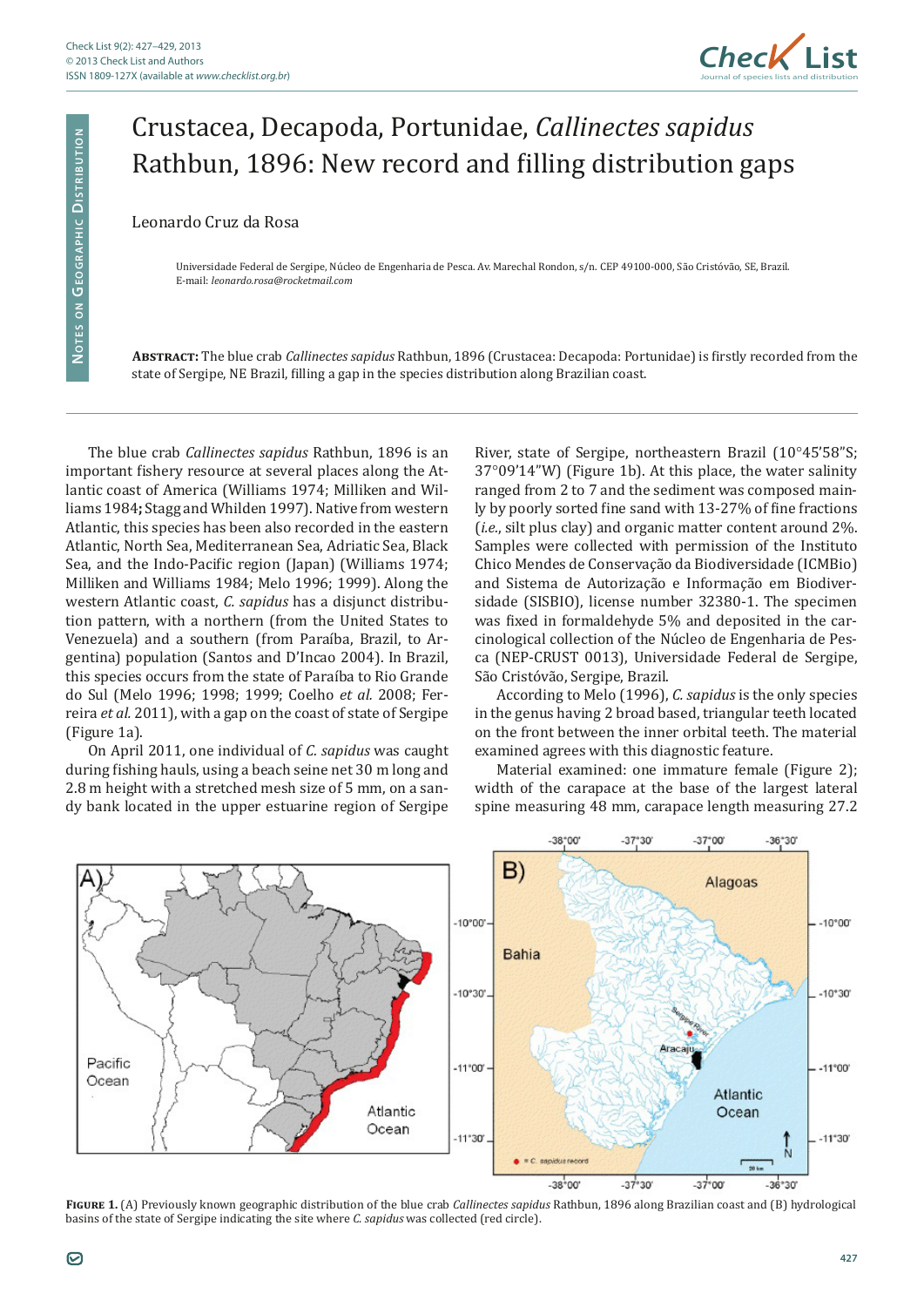

## Crustacea, Decapoda, Portunidae, *Callinectes sapidus* Rathbun, 1896: New record and filling distribution gaps

## Leonardo Cruz da Rosa

Universidade Federal de Sergipe, Núcleo de Engenharia de Pesca. Av. Marechal Rondon, s/n. CEP 49100-000, São Cristóvão, SE, Brazil. E-mail: *leonardo.rosa@rocketmail.com*

**Abstract:** The blue crab *Callinectes sapidus* Rathbun, 1896 (Crustacea: Decapoda: Portunidae) is firstly recorded from the state of Sergipe, NE Brazil, filling a gap in the species distribution along Brazilian coast.

The blue crab *Callinectes sapidus* Rathbun, 1896 is an important fishery resource at several places along the Atlantic coast of America (Williams 1974; Milliken and Williams 1984**;** Stagg and Whilden 1997). Native from western Atlantic, this species has been also recorded in the eastern Atlantic, North Sea, Mediterranean Sea, Adriatic Sea, Black Sea, and the Indo-Pacific region (Japan) (Williams 1974; Milliken and Williams 1984; Melo 1996; 1999). Along the western Atlantic coast, *C. sapidus* has a disjunct distribution pattern, with a northern (from the United States to Venezuela) and a southern (from Paraíba, Brazil, to Argentina) population (Santos and D'Incao 2004). In Brazil, this species occurs from the state of Paraíba to Rio Grande do Sul (Melo 1996; 1998; 1999; Coelho *et al.* 2008; Ferreira *et al.* 2011), with a gap on the coast of state of Sergipe (Figure 1a).

On April 2011, one individual of *C. sapidus* was caught during fishing hauls, using a beach seine net 30 m long and 2.8 m height with a stretched mesh size of 5 mm, on a sandy bank located in the upper estuarine region of Sergipe

River, state of Sergipe, northeastern Brazil (10°45'58"S; 37°09'14"W) (Figure 1b). At this place, the water salinity ranged from 2 to 7 and the sediment was composed mainly by poorly sorted fine sand with 13-27% of fine fractions (*i.e.*, silt plus clay) and organic matter content around 2%. Samples were collected with permission of the Instituto Chico Mendes de Conservação da Biodiversidade (ICMBio) and Sistema de Autorização e Informação em Biodiversidade (SISBIO), license number 32380-1. The specimen was fixed in formaldehyde 5% and deposited in the carcinological collection of the Núcleo de Engenharia de Pesca (NEP-CRUST 0013), Universidade Federal de Sergipe, São Cristóvão, Sergipe, Brazil.

According to Melo (1996), *C. sapidus* is the only species in the genus having 2 broad based, triangular teeth located on the front between the inner orbital teeth. The material examined agrees with this diagnostic feature.

Material examined: one immature female (Figure 2); width of the carapace at the base of the largest lateral spine measuring 48 mm, carapace length measuring 27.2



**Figure 1.** (A) Previously known geographic distribution of the blue crab *Callinectes sapidus* Rathbun, 1896 along Brazilian coast and (B) hydrological basins of the state of Sergipe indicating the site where *C. sapidus* was collected (red circle).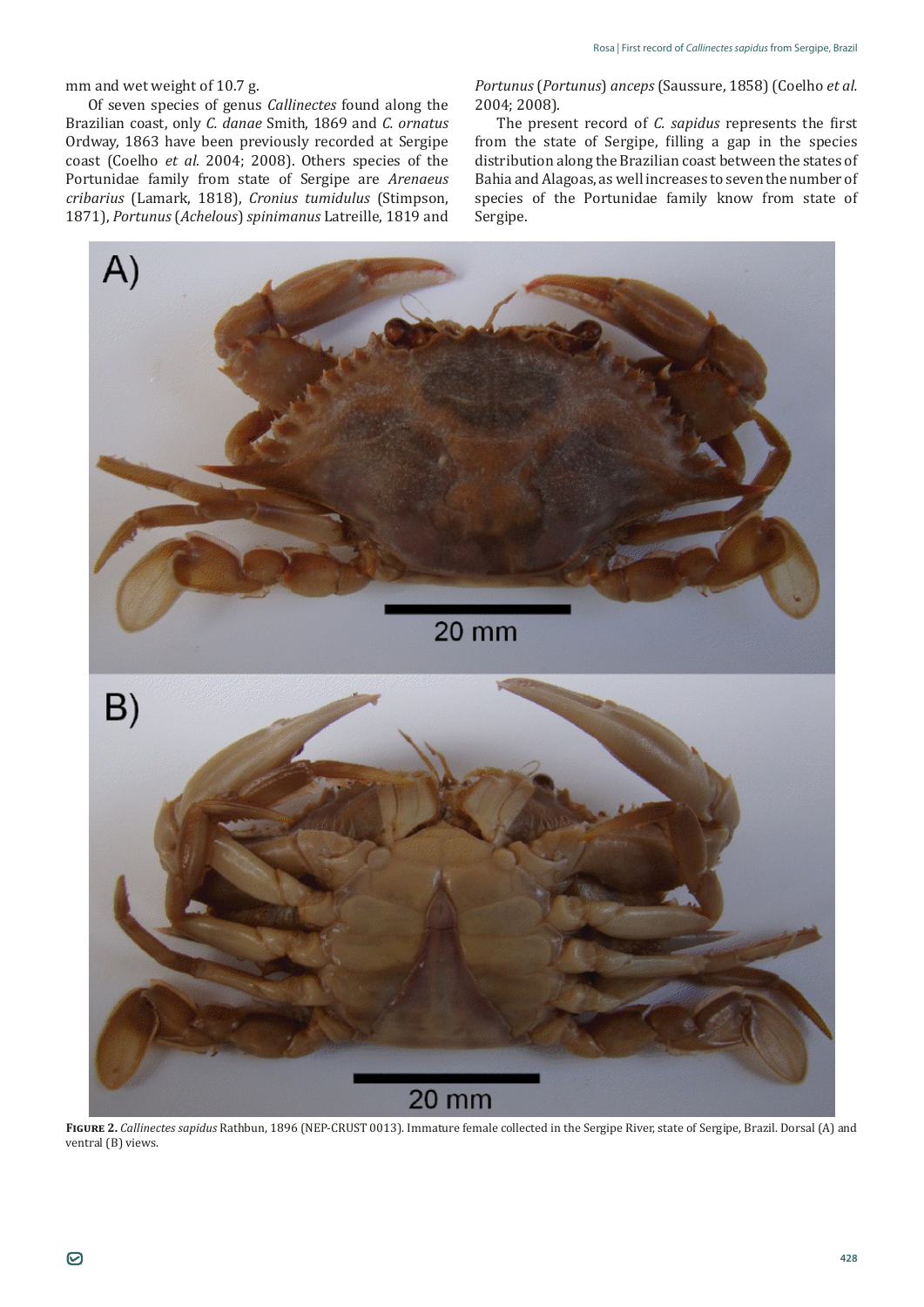## mm and wet weight of 10.7 g.

Of seven species of genus *Callinectes* found along the Brazilian coast, only *C. danae* Smith, 1869 and *C. ornatus* Ordway, 1863 have been previously recorded at Sergipe coast (Coelho *et al.* 2004; 2008). Others species of the Portunidae family from state of Sergipe are *Arenaeus cribarius* (Lamark, 1818), *Cronius tumidulus* (Stimpson, 1871), *Portunus* (*Achelous*) *spinimanus* Latreille, 1819 and *Portunus* (*Portunus*) *anceps* (Saussure, 1858) (Coelho *et al.* 2004; 2008).

The present record of *C. sapidus* represents the first from the state of Sergipe, filling a gap in the species distribution along the Brazilian coast between the states of Bahia and Alagoas, as well increases to seven the number of species of the Portunidae family know from state of Sergipe.



**Figure 2.** *Callinectes sapidus* Rathbun, 1896 (NEP-CRUST 0013). Immature female collected in the Sergipe River, state of Sergipe, Brazil. Dorsal (A) and ventral (B) views.